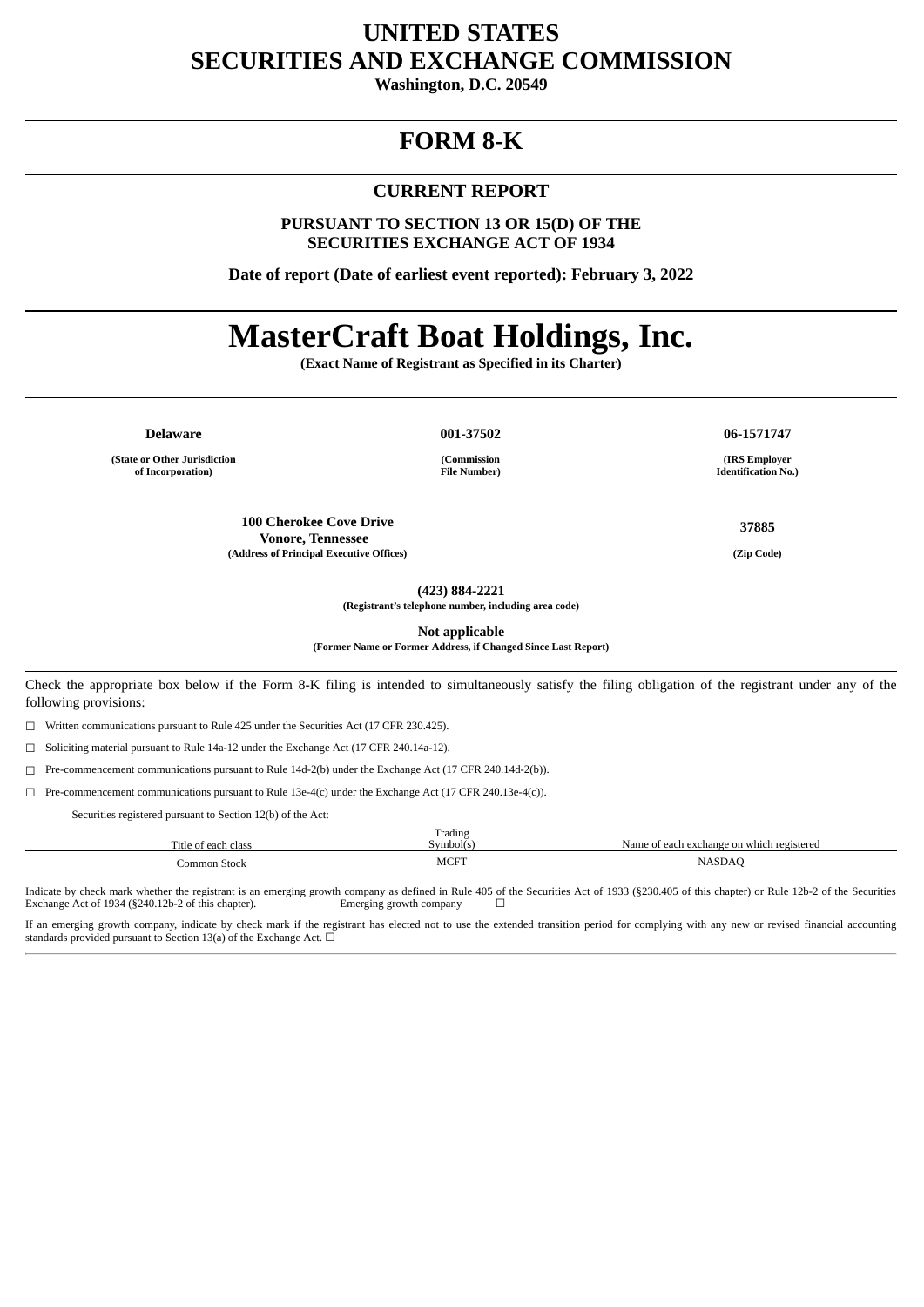# **UNITED STATES SECURITIES AND EXCHANGE COMMISSION**

**Washington, D.C. 20549**

## **FORM 8-K**

#### **CURRENT REPORT**

**PURSUANT TO SECTION 13 OR 15(D) OF THE SECURITIES EXCHANGE ACT OF 1934**

**Date of report (Date of earliest event reported): February 3, 2022**

# **MasterCraft Boat Holdings, Inc.**

**(Exact Name of Registrant as Specified in its Charter)**

**(State or Other Jurisdiction of Incorporation)**

**Delaware 001-37502 06-1571747**

**(Commission File Number)**

**100 Cherokee Cove Drive Vonore, Tennessee (Address of Principal Executive Offices) (Zip Code)**

**(IRS Employer Identification No.)**

**37885**

**(423) 884-2221**

**(Registrant's telephone number, including area code)**

**Not applicable**

**(Former Name or Former Address, if Changed Since Last Report)**

Check the appropriate box below if the Form 8-K filing is intended to simultaneously satisfy the filing obligation of the registrant under any of the following provisions:

☐ Written communications pursuant to Rule 425 under the Securities Act (17 CFR 230.425).

☐ Soliciting material pursuant to Rule 14a-12 under the Exchange Act (17 CFR 240.14a-12).

☐ Pre-commencement communications pursuant to Rule 14d-2(b) under the Exchange Act (17 CFR 240.14d-2(b)).

☐ Pre-commencement communications pursuant to Rule 13e-4(c) under the Exchange Act (17 CFR 240.13e-4(c)).

Securities registered pursuant to Section 12(b) of the Act:

| Title of each class | Trading<br>Symbol(s | Name of each exchange on which registered |
|---------------------|---------------------|-------------------------------------------|
| Common Stock        | <b>MCFT</b>         | <b>NASDAC</b><br>----                     |

Indicate by check mark whether the registrant is an emerging growth company as defined in Rule 405 of the Securities Act of 1933 (§230.405 of this chapter) or Rule 12b-2 of the Securities Exchange Act of 1934 (§240.12b-2 o Exchange Act of 1934 (§240.12b-2 of this chapter).

If an emerging growth company, indicate by check mark if the registrant has elected not to use the extended transition period for complying with any new or revised financial accounting standards provided pursuant to Section 13(a) of the Exchange Act.  $\Box$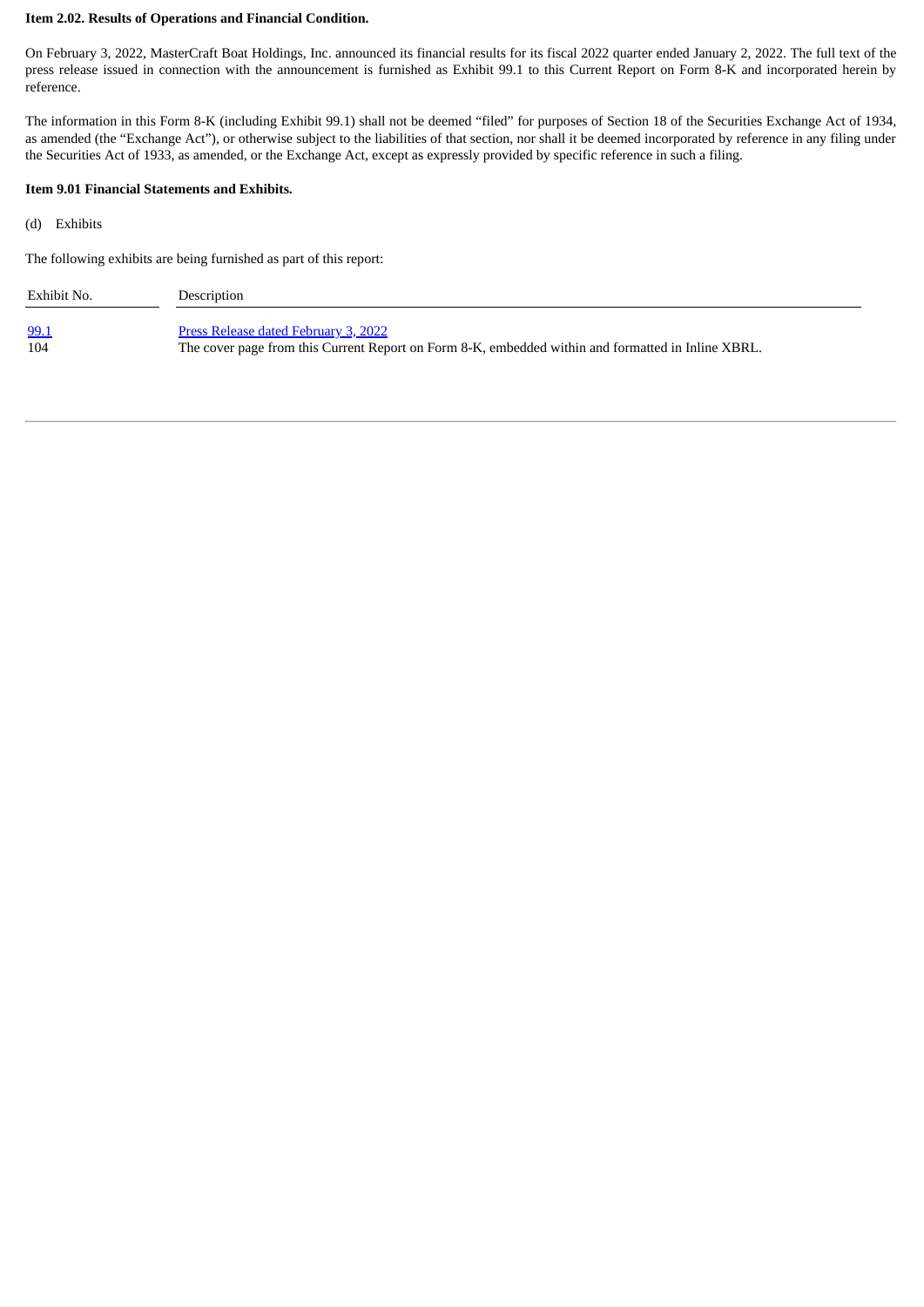#### **Item 2.02. Results of Operations and Financial Condition.**

On February 3, 2022, MasterCraft Boat Holdings, Inc. announced its financial results for its fiscal 2022 quarter ended January 2, 2022. The full text of the press release issued in connection with the announcement is furnished as Exhibit 99.1 to this Current Report on Form 8-K and incorporated herein by reference.

The information in this Form 8-K (including Exhibit 99.1) shall not be deemed "filed" for purposes of Section 18 of the Securities Exchange Act of 1934, as amended (the "Exchange Act"), or otherwise subject to the liabilities of that section, nor shall it be deemed incorporated by reference in any filing under the Securities Act of 1933, as amended, or the Exchange Act, except as expressly provided by specific reference in such a filing.

#### **Item 9.01 Financial Statements and Exhibits.**

(d) Exhibits

The following exhibits are being furnished as part of this report:

| Exhibit No. | Description                                                                                        |
|-------------|----------------------------------------------------------------------------------------------------|
| 99.1        | Press Release dated February 3, 2022                                                               |
| 104         | The cover page from this Current Report on Form 8-K, embedded within and formatted in Inline XBRL. |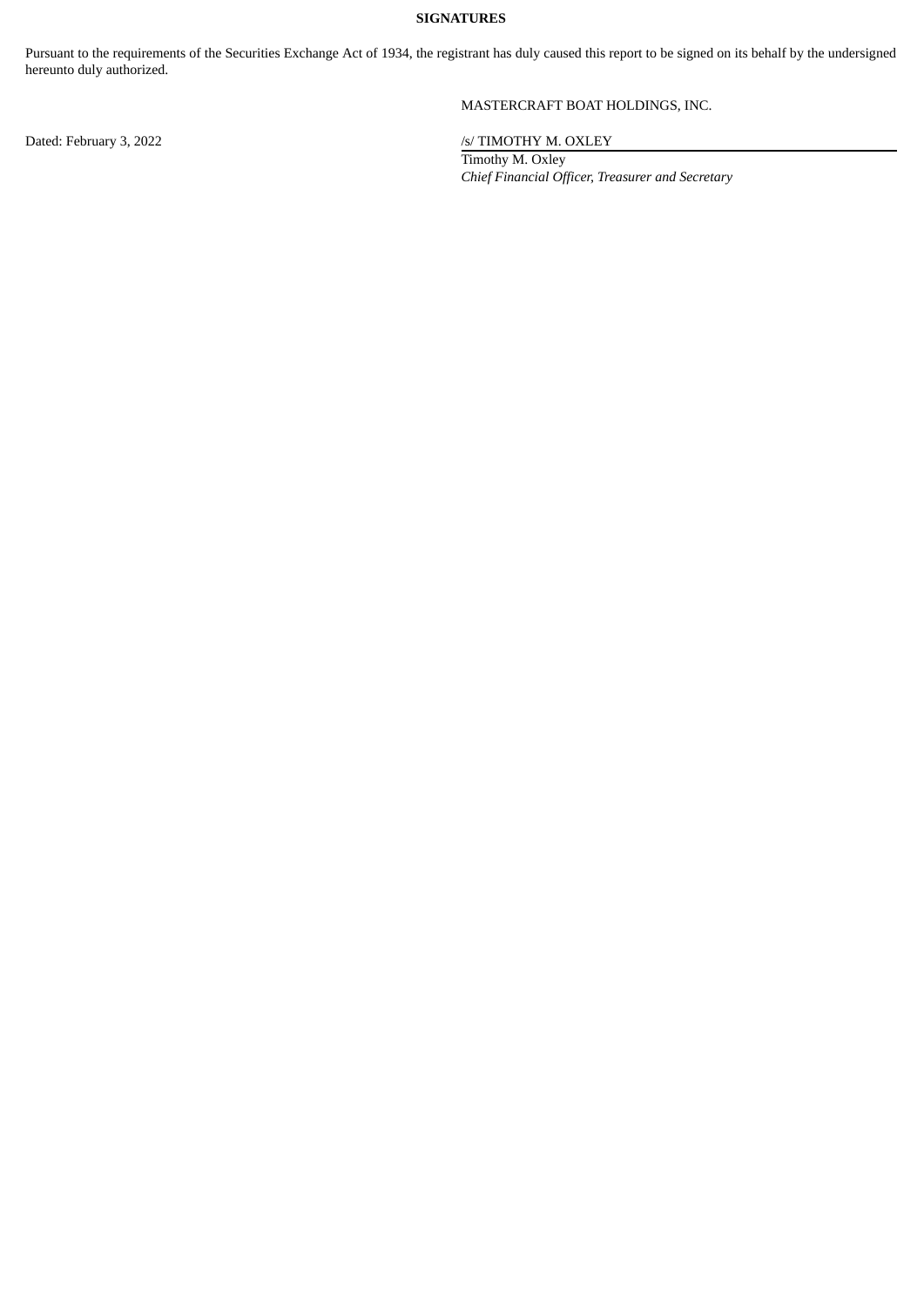#### **SIGNATURES**

Pursuant to the requirements of the Securities Exchange Act of 1934, the registrant has duly caused this report to be signed on its behalf by the undersigned hereunto duly authorized.

#### MASTERCRAFT BOAT HOLDINGS, INC.

Dated: February 3, 2022 /s/ TIMOTHY M. OXLEY

Timothy M. Oxley *Chief Financial Officer, Treasurer and Secretary*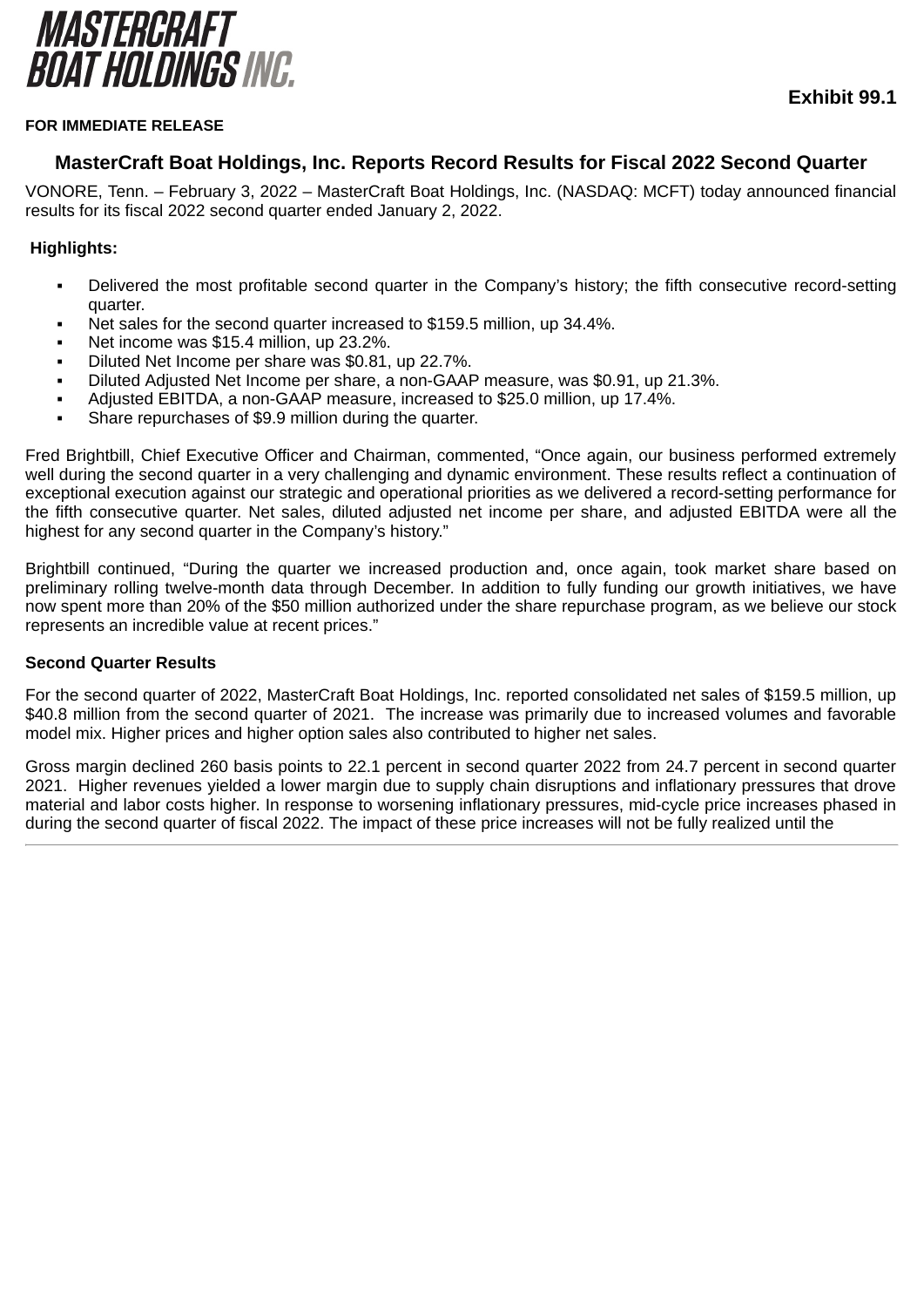<span id="page-3-0"></span>

## **Exhibit 99.1**

#### **FOR IMMEDIATE RELEASE**

#### **MasterCraft Boat Holdings, Inc. Reports Record Results for Fiscal 2022 Second Quarter**

VONORE, Tenn. – February 3, 2022 – MasterCraft Boat Holdings, Inc. (NASDAQ: MCFT) today announced financial results for its fiscal 2022 second quarter ended January 2, 2022.

#### **Highlights:**

- Delivered the most profitable second quarter in the Company's history; the fifth consecutive record-setting quarter.
- Net sales for the second quarter increased to \$159.5 million, up 34.4%.
- Net income was \$15.4 million, up 23.2%.
- Diluted Net Income per share was \$0.81, up 22.7%.
- Diluted Adjusted Net Income per share, a non-GAAP measure, was \$0.91, up 21.3%.
- Adjusted EBITDA, a non-GAAP measure, increased to \$25.0 million, up 17.4%.
- Share repurchases of \$9.9 million during the quarter.

Fred Brightbill, Chief Executive Officer and Chairman, commented, "Once again, our business performed extremely well during the second quarter in a very challenging and dynamic environment. These results reflect a continuation of exceptional execution against our strategic and operational priorities as we delivered a record-setting performance for the fifth consecutive quarter. Net sales, diluted adjusted net income per share, and adjusted EBITDA were all the highest for any second quarter in the Company's history."

Brightbill continued, "During the quarter we increased production and, once again, took market share based on preliminary rolling twelve-month data through December. In addition to fully funding our growth initiatives, we have now spent more than 20% of the \$50 million authorized under the share repurchase program, as we believe our stock represents an incredible value at recent prices."

#### **Second Quarter Results**

For the second quarter of 2022, MasterCraft Boat Holdings, Inc. reported consolidated net sales of \$159.5 million, up \$40.8 million from the second quarter of 2021. The increase was primarily due to increased volumes and favorable model mix. Higher prices and higher option sales also contributed to higher net sales.

Gross margin declined 260 basis points to 22.1 percent in second quarter 2022 from 24.7 percent in second quarter 2021. Higher revenues yielded a lower margin due to supply chain disruptions and inflationary pressures that drove material and labor costs higher. In response to worsening inflationary pressures, mid-cycle price increases phased in during the second quarter of fiscal 2022. The impact of these price increases will not be fully realized until the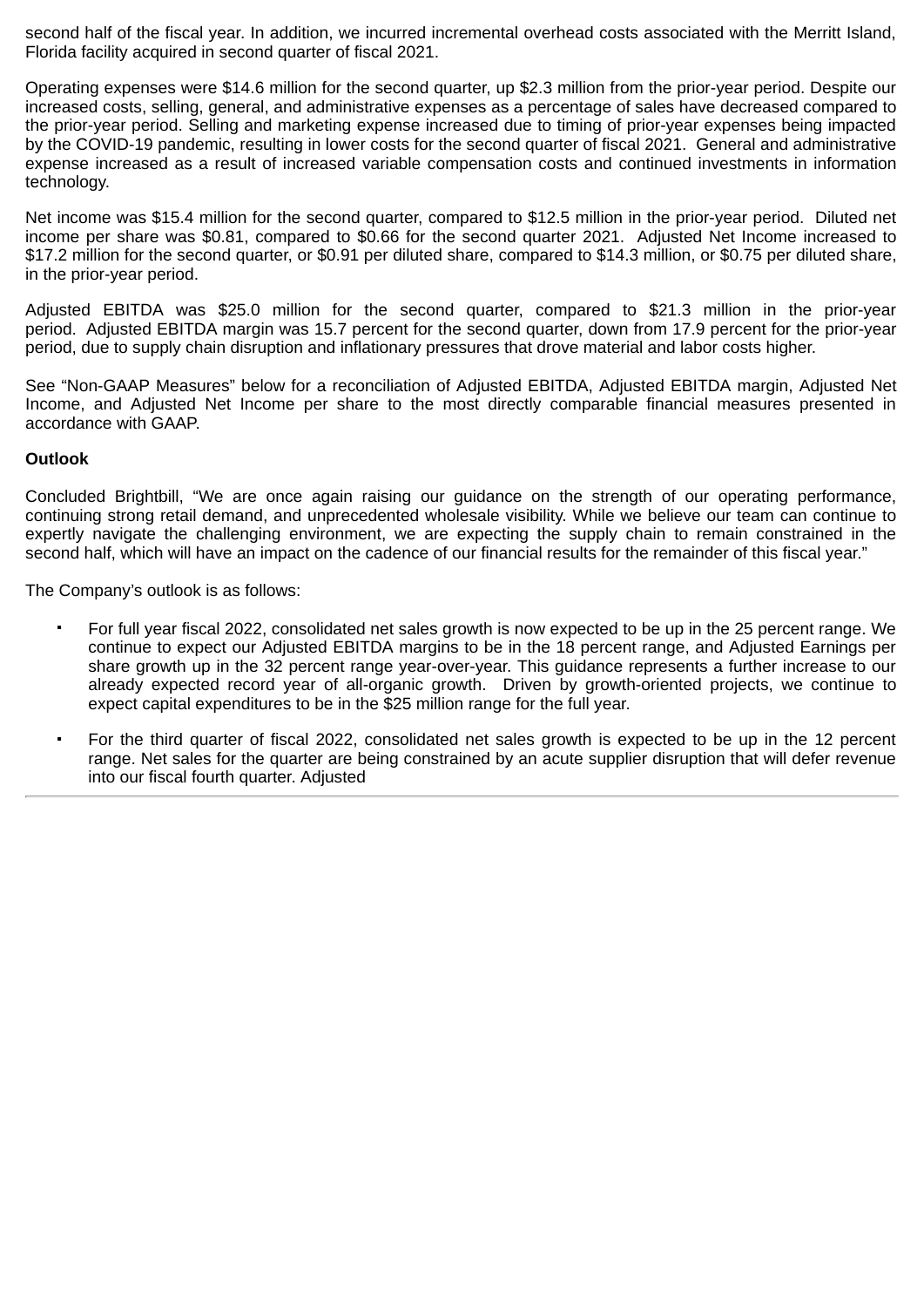second half of the fiscal year. In addition, we incurred incremental overhead costs associated with the Merritt Island, Florida facility acquired in second quarter of fiscal 2021.

Operating expenses were \$14.6 million for the second quarter, up \$2.3 million from the prior-year period. Despite our increased costs, selling, general, and administrative expenses as a percentage of sales have decreased compared to the prior-year period. Selling and marketing expense increased due to timing of prior-year expenses being impacted by the COVID-19 pandemic, resulting in lower costs for the second quarter of fiscal 2021. General and administrative expense increased as a result of increased variable compensation costs and continued investments in information technology.

Net income was \$15.4 million for the second quarter, compared to \$12.5 million in the prior-year period. Diluted net income per share was \$0.81, compared to \$0.66 for the second quarter 2021. Adjusted Net Income increased to \$17.2 million for the second quarter, or \$0.91 per diluted share, compared to \$14.3 million, or \$0.75 per diluted share, in the prior-year period.

Adjusted EBITDA was \$25.0 million for the second quarter, compared to \$21.3 million in the prior-year period. Adjusted EBITDA margin was 15.7 percent for the second quarter, down from 17.9 percent for the prior-year period, due to supply chain disruption and inflationary pressures that drove material and labor costs higher.

See "Non-GAAP Measures" below for a reconciliation of Adjusted EBITDA, Adjusted EBITDA margin, Adjusted Net Income, and Adjusted Net Income per share to the most directly comparable financial measures presented in accordance with GAAP.

#### **Outlook**

Concluded Brightbill, "We are once again raising our guidance on the strength of our operating performance, continuing strong retail demand, and unprecedented wholesale visibility. While we believe our team can continue to expertly navigate the challenging environment, we are expecting the supply chain to remain constrained in the second half, which will have an impact on the cadence of our financial results for the remainder of this fiscal year."

The Company's outlook is as follows:

- For full year fiscal 2022, consolidated net sales growth is now expected to be up in the 25 percent range. We continue to expect our Adjusted EBITDA margins to be in the 18 percent range, and Adjusted Earnings per share growth up in the 32 percent range year-over-year. This guidance represents a further increase to our already expected record year of all-organic growth. Driven by growth-oriented projects, we continue to expect capital expenditures to be in the \$25 million range for the full year.
- For the third quarter of fiscal 2022, consolidated net sales growth is expected to be up in the 12 percent range. Net sales for the quarter are being constrained by an acute supplier disruption that will defer revenue into our fiscal fourth quarter. Adjusted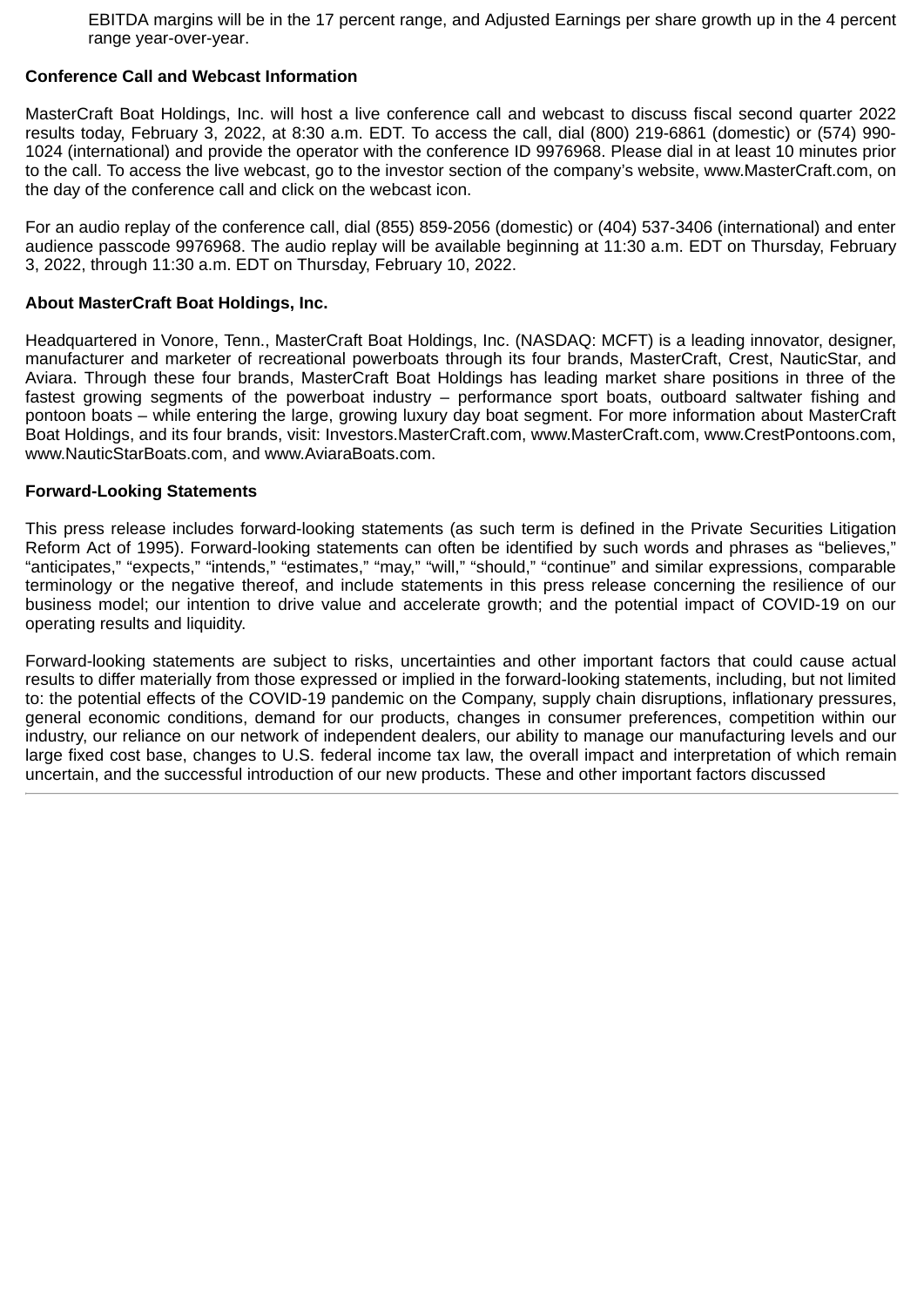EBITDA margins will be in the 17 percent range, and Adjusted Earnings per share growth up in the 4 percent range year-over-year.

#### **Conference Call and Webcast Information**

MasterCraft Boat Holdings, Inc. will host a live conference call and webcast to discuss fiscal second quarter 2022 results today, February 3, 2022, at 8:30 a.m. EDT. To access the call, dial (800) 219-6861 (domestic) or (574) 990- 1024 (international) and provide the operator with the conference ID 9976968. Please dial in at least 10 minutes prior to the call. To access the live webcast, go to the investor section of the company's website, www.MasterCraft.com, on the day of the conference call and click on the webcast icon.

For an audio replay of the conference call, dial (855) 859-2056 (domestic) or (404) 537-3406 (international) and enter audience passcode 9976968. The audio replay will be available beginning at 11:30 a.m. EDT on Thursday, February 3, 2022, through 11:30 a.m. EDT on Thursday, February 10, 2022.

#### **About MasterCraft Boat Holdings, Inc.**

Headquartered in Vonore, Tenn., MasterCraft Boat Holdings, Inc. (NASDAQ: MCFT) is a leading innovator, designer, manufacturer and marketer of recreational powerboats through its four brands, MasterCraft, Crest, NauticStar, and Aviara. Through these four brands, MasterCraft Boat Holdings has leading market share positions in three of the fastest growing segments of the powerboat industry – performance sport boats, outboard saltwater fishing and pontoon boats – while entering the large, growing luxury day boat segment. For more information about MasterCraft Boat Holdings, and its four brands, visit: Investors.MasterCraft.com, www.MasterCraft.com, www.CrestPontoons.com, www.NauticStarBoats.com, and www.AviaraBoats.com.

#### **Forward-Looking Statements**

This press release includes forward-looking statements (as such term is defined in the Private Securities Litigation Reform Act of 1995). Forward-looking statements can often be identified by such words and phrases as "believes," "anticipates," "expects," "intends," "estimates," "may," "will," "should," "continue" and similar expressions, comparable terminology or the negative thereof, and include statements in this press release concerning the resilience of our business model; our intention to drive value and accelerate growth; and the potential impact of COVID-19 on our operating results and liquidity.

Forward-looking statements are subject to risks, uncertainties and other important factors that could cause actual results to differ materially from those expressed or implied in the forward-looking statements, including, but not limited to: the potential effects of the COVID-19 pandemic on the Company, supply chain disruptions, inflationary pressures, general economic conditions, demand for our products, changes in consumer preferences, competition within our industry, our reliance on our network of independent dealers, our ability to manage our manufacturing levels and our large fixed cost base, changes to U.S. federal income tax law, the overall impact and interpretation of which remain uncertain, and the successful introduction of our new products. These and other important factors discussed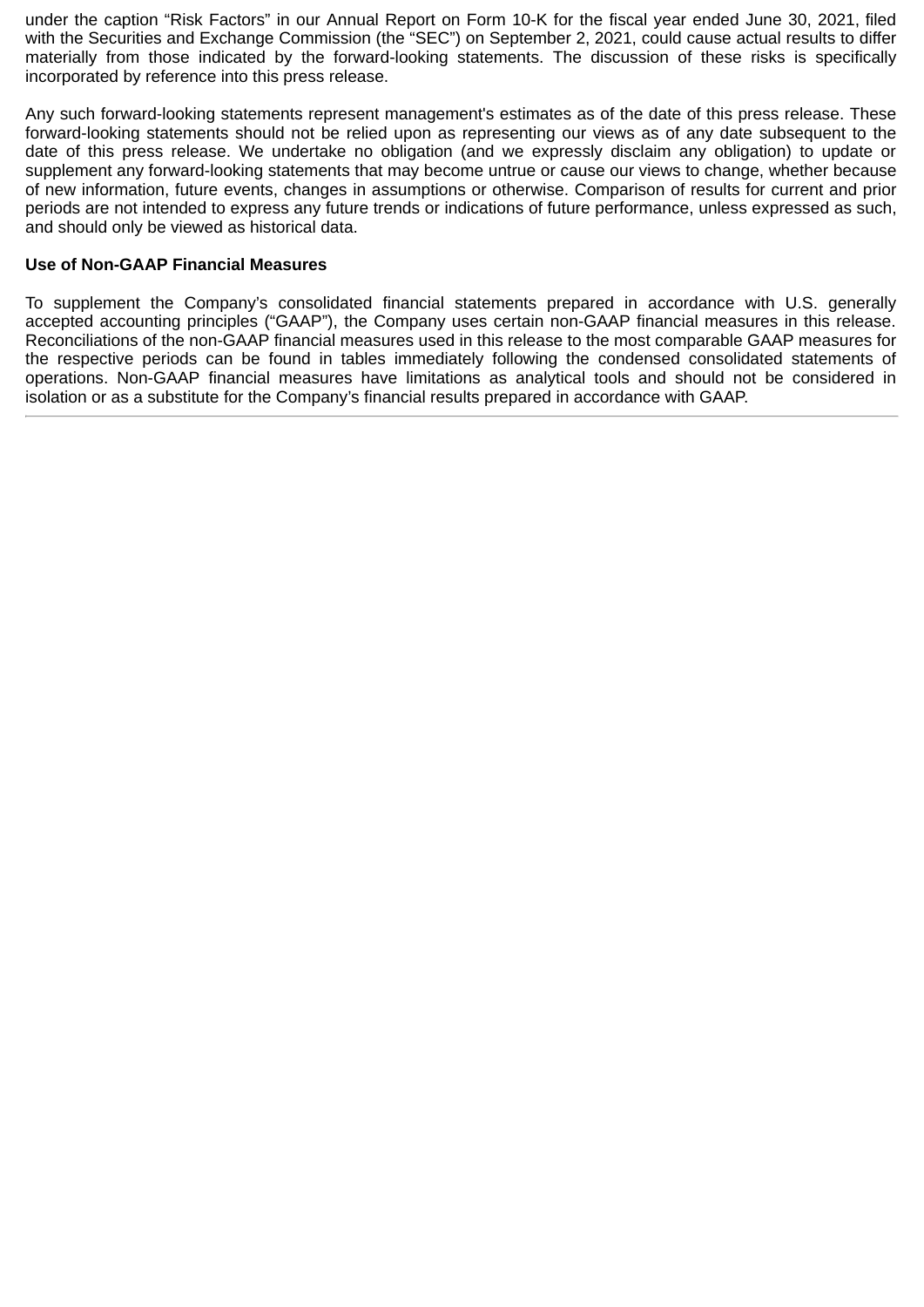under the caption "Risk Factors" in our Annual Report on Form 10-K for the fiscal year ended June 30, 2021, filed with the Securities and Exchange Commission (the "SEC") on September 2, 2021, could cause actual results to differ materially from those indicated by the forward-looking statements. The discussion of these risks is specifically incorporated by reference into this press release.

Any such forward-looking statements represent management's estimates as of the date of this press release. These forward-looking statements should not be relied upon as representing our views as of any date subsequent to the date of this press release. We undertake no obligation (and we expressly disclaim any obligation) to update or supplement any forward-looking statements that may become untrue or cause our views to change, whether because of new information, future events, changes in assumptions or otherwise. Comparison of results for current and prior periods are not intended to express any future trends or indications of future performance, unless expressed as such, and should only be viewed as historical data.

#### **Use of Non-GAAP Financial Measures**

To supplement the Company's consolidated financial statements prepared in accordance with U.S. generally accepted accounting principles ("GAAP"), the Company uses certain non-GAAP financial measures in this release. Reconciliations of the non-GAAP financial measures used in this release to the most comparable GAAP measures for the respective periods can be found in tables immediately following the condensed consolidated statements of operations. Non-GAAP financial measures have limitations as analytical tools and should not be considered in isolation or as a substitute for the Company's financial results prepared in accordance with GAAP.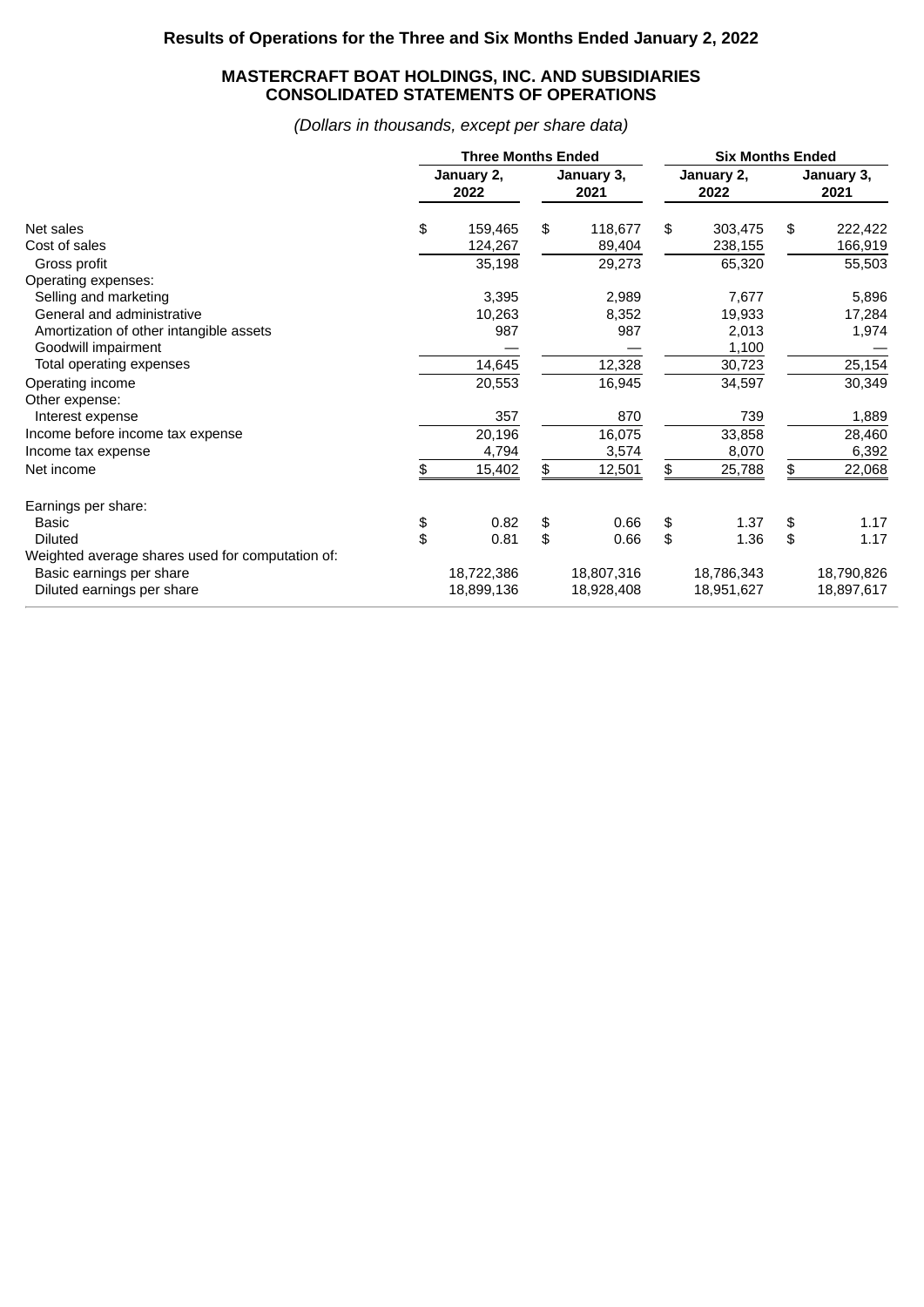#### **MASTERCRAFT BOAT HOLDINGS, INC. AND SUBSIDIARIES CONSOLIDATED STATEMENTS OF OPERATIONS**

*(Dollars in thousands, except per share data)*

|                                                  | <b>Three Months Ended</b> |                    |    |                    | <b>Six Months Ended</b> |                    |            |  |  |  |
|--------------------------------------------------|---------------------------|--------------------|----|--------------------|-------------------------|--------------------|------------|--|--|--|
|                                                  |                           | January 2,<br>2022 |    | January 3,<br>2021 | January 2,<br>2022      | January 3,<br>2021 |            |  |  |  |
| Net sales                                        | \$                        | 159,465            | \$ | 118,677            | \$<br>303,475           | \$                 | 222,422    |  |  |  |
| Cost of sales                                    |                           | 124,267            |    | 89,404             | 238,155                 |                    | 166,919    |  |  |  |
| Gross profit                                     |                           | 35,198             |    | 29,273             | 65,320                  |                    | 55,503     |  |  |  |
| Operating expenses:                              |                           |                    |    |                    |                         |                    |            |  |  |  |
| Selling and marketing                            |                           | 3,395              |    | 2,989              | 7,677                   |                    | 5,896      |  |  |  |
| General and administrative                       |                           | 10,263             |    | 8,352              | 19,933                  |                    | 17,284     |  |  |  |
| Amortization of other intangible assets          |                           | 987                |    | 987                | 2,013                   |                    | 1,974      |  |  |  |
| Goodwill impairment                              |                           |                    |    |                    | 1,100                   |                    |            |  |  |  |
| Total operating expenses                         |                           | 14,645             |    | 12,328             | 30,723                  |                    | 25,154     |  |  |  |
| Operating income                                 |                           | 20,553             |    | 16,945             | 34,597                  |                    | 30,349     |  |  |  |
| Other expense:                                   |                           |                    |    |                    |                         |                    |            |  |  |  |
| Interest expense                                 |                           | 357                |    | 870                | 739                     |                    | 1,889      |  |  |  |
| Income before income tax expense                 |                           | 20,196             |    | 16,075             | 33,858                  |                    | 28,460     |  |  |  |
| Income tax expense                               |                           | 4,794              |    | 3,574              | 8,070                   |                    | 6,392      |  |  |  |
| Net income                                       | \$                        | 15,402             | \$ | 12,501             | \$<br>25,788            | \$                 | 22,068     |  |  |  |
| Earnings per share:                              |                           |                    |    |                    |                         |                    |            |  |  |  |
| Basic                                            | \$                        | 0.82               | \$ | 0.66               | \$<br>1.37              | \$                 | 1.17       |  |  |  |
| <b>Diluted</b>                                   | \$                        | 0.81               | \$ | 0.66               | \$<br>1.36              | \$                 | 1.17       |  |  |  |
| Weighted average shares used for computation of: |                           |                    |    |                    |                         |                    |            |  |  |  |
| Basic earnings per share                         |                           | 18,722,386         |    | 18,807,316         | 18,786,343              |                    | 18,790,826 |  |  |  |
| Diluted earnings per share                       |                           | 18,899,136         |    | 18,928,408         | 18,951,627              |                    | 18,897,617 |  |  |  |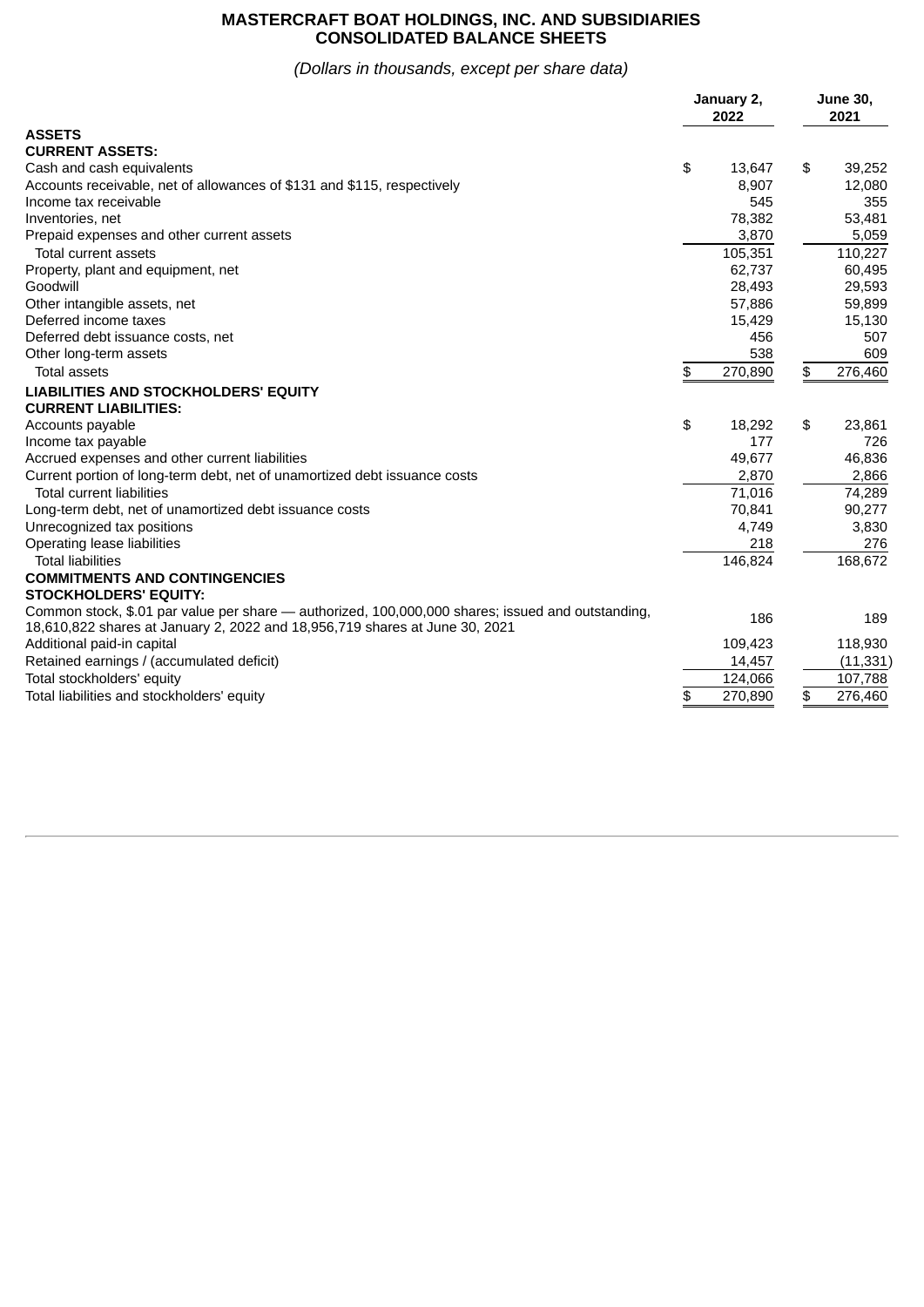#### **MASTERCRAFT BOAT HOLDINGS, INC. AND SUBSIDIARIES CONSOLIDATED BALANCE SHEETS**

### *(Dollars in thousands, except per share data)*

|                                                                                                                                                                                  | January 2,<br>2022 | <b>June 30,</b><br>2021 |           |  |
|----------------------------------------------------------------------------------------------------------------------------------------------------------------------------------|--------------------|-------------------------|-----------|--|
| <b>ASSETS</b>                                                                                                                                                                    |                    |                         |           |  |
| <b>CURRENT ASSETS:</b>                                                                                                                                                           |                    |                         |           |  |
| Cash and cash equivalents                                                                                                                                                        | \$<br>13,647       | \$                      | 39,252    |  |
| Accounts receivable, net of allowances of \$131 and \$115, respectively                                                                                                          | 8,907              |                         | 12,080    |  |
| Income tax receivable                                                                                                                                                            | 545                |                         | 355       |  |
| Inventories, net                                                                                                                                                                 | 78,382             |                         | 53,481    |  |
| Prepaid expenses and other current assets                                                                                                                                        | 3,870              |                         | 5,059     |  |
| Total current assets                                                                                                                                                             | 105,351            |                         | 110,227   |  |
| Property, plant and equipment, net                                                                                                                                               | 62,737             |                         | 60,495    |  |
| Goodwill                                                                                                                                                                         | 28,493             |                         | 29,593    |  |
| Other intangible assets, net                                                                                                                                                     | 57,886             |                         | 59,899    |  |
| Deferred income taxes                                                                                                                                                            | 15,429             |                         | 15,130    |  |
| Deferred debt issuance costs, net                                                                                                                                                | 456                |                         | 507       |  |
| Other long-term assets                                                                                                                                                           | 538                |                         | 609       |  |
| <b>Total assets</b>                                                                                                                                                              | \$<br>270,890      | \$                      | 276,460   |  |
| LIABILITIES AND STOCKHOLDERS' EQUITY                                                                                                                                             |                    |                         |           |  |
| <b>CURRENT LIABILITIES:</b>                                                                                                                                                      |                    |                         |           |  |
| Accounts payable                                                                                                                                                                 | \$<br>18,292       | \$                      | 23,861    |  |
| Income tax payable                                                                                                                                                               | 177                |                         | 726       |  |
| Accrued expenses and other current liabilities                                                                                                                                   | 49,677             |                         | 46,836    |  |
| Current portion of long-term debt, net of unamortized debt issuance costs                                                                                                        | 2,870              |                         | 2,866     |  |
| <b>Total current liabilities</b>                                                                                                                                                 | 71.016             |                         | 74,289    |  |
| Long-term debt, net of unamortized debt issuance costs                                                                                                                           | 70,841             |                         | 90,277    |  |
| Unrecognized tax positions                                                                                                                                                       | 4,749              |                         | 3,830     |  |
| Operating lease liabilities                                                                                                                                                      | 218                |                         | 276       |  |
| <b>Total liabilities</b>                                                                                                                                                         | 146,824            |                         | 168,672   |  |
| <b>COMMITMENTS AND CONTINGENCIES</b>                                                                                                                                             |                    |                         |           |  |
| STOCKHOLDERS' EQUITY:                                                                                                                                                            |                    |                         |           |  |
| Common stock, \$.01 par value per share — authorized, 100,000,000 shares; issued and outstanding,<br>18,610,822 shares at January 2, 2022 and 18,956,719 shares at June 30, 2021 | 186                |                         | 189       |  |
| Additional paid-in capital                                                                                                                                                       | 109,423            |                         | 118,930   |  |
| Retained earnings / (accumulated deficit)                                                                                                                                        | 14,457             |                         | (11, 331) |  |
| Total stockholders' equity                                                                                                                                                       | 124,066            |                         | 107,788   |  |
| Total liabilities and stockholders' equity                                                                                                                                       | \$<br>270.890      | \$                      | 276,460   |  |
|                                                                                                                                                                                  |                    |                         |           |  |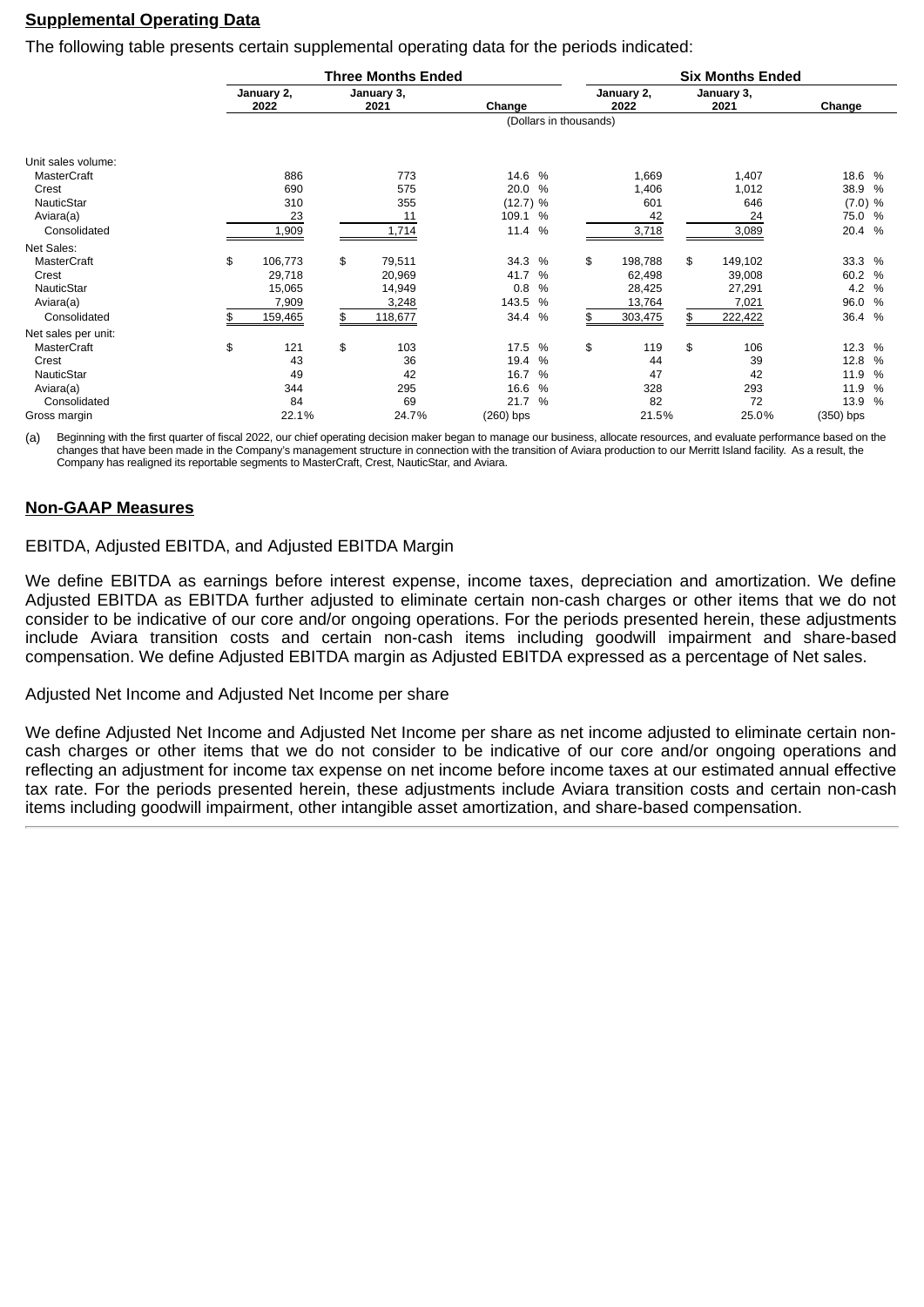#### **Supplemental Operating Data**

The following table presents certain supplemental operating data for the periods indicated:

|                     | <b>Three Months Ended</b> |    |                    |             |               | <b>Six Months Ended</b> |                    |    |                    |             |       |  |
|---------------------|---------------------------|----|--------------------|-------------|---------------|-------------------------|--------------------|----|--------------------|-------------|-------|--|
|                     | January 2,<br>2022        |    | January 3,<br>2021 | Change      |               |                         | January 2,<br>2022 |    | January 3,<br>2021 | Change      |       |  |
|                     |                           |    |                    |             |               | (Dollars in thousands)  |                    |    |                    |             |       |  |
| Unit sales volume:  |                           |    |                    |             |               |                         |                    |    |                    |             |       |  |
| MasterCraft         | 886                       |    | 773                | 14.6 %      |               |                         | 1,669              |    | 1,407              | 18.6 %      |       |  |
| Crest               | 690                       |    | 575                | 20.0        | $\%$          |                         | 1,406              |    | 1,012              | 38.9 %      |       |  |
| NauticStar          | 310                       |    | 355                | (12.7) %    |               |                         | 601                |    | 646                | $(7.0)$ %   |       |  |
| Aviara(a)           | 23                        |    | 11                 | 109.1 %     |               |                         | 42                 |    | 24                 | 75.0 %      |       |  |
| Consolidated        | 1,909                     |    | 1,714              | 11.4        | %             |                         | 3,718              |    | 3,089              | 20.4 %      |       |  |
| Net Sales:          |                           |    |                    |             |               |                         |                    |    |                    |             |       |  |
| MasterCraft         | \$<br>106,773             | \$ | 79,511             | 34.3        | $\%$          | \$                      | 198,788            | \$ | 149,102            | 33.3 %      |       |  |
| Crest               | 29,718                    |    | 20,969             | 41.7        | $\%$          |                         | 62,498             |    | 39,008             | 60.2 %      |       |  |
| NauticStar          | 15,065                    |    | 14,949             | 0.8         | $\%$          |                         | 28,425             |    | 27,291             |             | 4.2 % |  |
| Aviara(a)           | 7,909                     |    | 3,248              | 143.5       | $\%$          |                         | 13,764             |    | 7,021              | 96.0 %      |       |  |
| Consolidated        | 159,465                   | \$ | 118,677            | 34.4 %      |               | \$                      | 303,475            |    | 222,422            | 36.4 %      |       |  |
| Net sales per unit: |                           |    |                    |             |               |                         |                    |    |                    |             |       |  |
| MasterCraft         | \$<br>121                 | \$ | 103                | 17.5        | $\%$          | \$                      | 119                | \$ | 106                | 12.3 %      |       |  |
| Crest               | 43                        |    | 36                 | 19.4        | $\%$          |                         | 44                 |    | 39                 | 12.8 %      |       |  |
| NauticStar          | 49                        |    | 42                 | 16.7        | $\%$          |                         | 47                 |    | 42                 | 11.9 %      |       |  |
| Aviara(a)           | 344                       |    | 295                | 16.6        | $\%$          |                         | 328                |    | 293                | 11.9        | $\%$  |  |
| Consolidated        | 84                        |    | 69                 | 21.7        | $\frac{0}{0}$ |                         | 82                 |    | 72                 | 13.9 %      |       |  |
| Gross margin        | 22.1%                     |    | 24.7%              | $(260)$ bps |               |                         | 21.5%              |    | 25.0%              | $(350)$ bps |       |  |

(a) Beginning with the first quarter of fiscal 2022, our chief operating decision maker began to manage our business, allocate resources, and evaluate performance based on the changes that have been made in the Company's management structure in connection with the transition of Aviara production to our Merritt Island facility. As a result, the Company has realigned its reportable segments to MasterCraft, Crest, NauticStar, and Aviara.

#### **Non-GAAP Measures**

#### EBITDA, Adjusted EBITDA, and Adjusted EBITDA Margin

We define EBITDA as earnings before interest expense, income taxes, depreciation and amortization. We define Adjusted EBITDA as EBITDA further adjusted to eliminate certain non-cash charges or other items that we do not consider to be indicative of our core and/or ongoing operations. For the periods presented herein, these adjustments include Aviara transition costs and certain non-cash items including goodwill impairment and share-based compensation. We define Adjusted EBITDA margin as Adjusted EBITDA expressed as a percentage of Net sales.

Adjusted Net Income and Adjusted Net Income per share

We define Adjusted Net Income and Adjusted Net Income per share as net income adjusted to eliminate certain noncash charges or other items that we do not consider to be indicative of our core and/or ongoing operations and reflecting an adjustment for income tax expense on net income before income taxes at our estimated annual effective tax rate. For the periods presented herein, these adjustments include Aviara transition costs and certain non-cash items including goodwill impairment, other intangible asset amortization, and share-based compensation.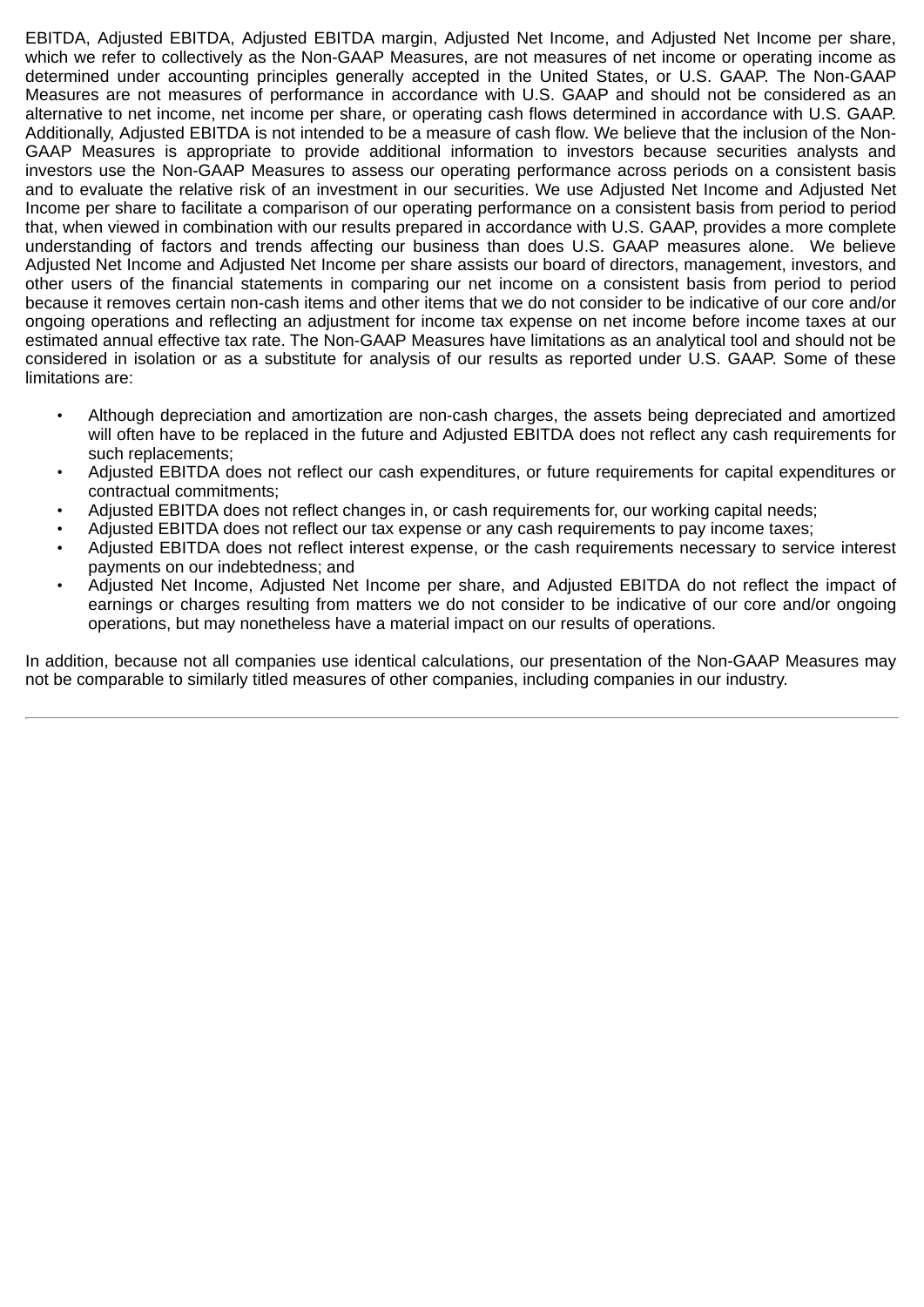EBITDA, Adjusted EBITDA, Adjusted EBITDA margin, Adjusted Net Income, and Adjusted Net Income per share, which we refer to collectively as the Non-GAAP Measures, are not measures of net income or operating income as determined under accounting principles generally accepted in the United States, or U.S. GAAP. The Non-GAAP Measures are not measures of performance in accordance with U.S. GAAP and should not be considered as an alternative to net income, net income per share, or operating cash flows determined in accordance with U.S. GAAP. Additionally, Adjusted EBITDA is not intended to be a measure of cash flow. We believe that the inclusion of the Non-GAAP Measures is appropriate to provide additional information to investors because securities analysts and investors use the Non-GAAP Measures to assess our operating performance across periods on a consistent basis and to evaluate the relative risk of an investment in our securities. We use Adjusted Net Income and Adjusted Net Income per share to facilitate a comparison of our operating performance on a consistent basis from period to period that, when viewed in combination with our results prepared in accordance with U.S. GAAP, provides a more complete understanding of factors and trends affecting our business than does U.S. GAAP measures alone. We believe Adjusted Net Income and Adjusted Net Income per share assists our board of directors, management, investors, and other users of the financial statements in comparing our net income on a consistent basis from period to period because it removes certain non-cash items and other items that we do not consider to be indicative of our core and/or ongoing operations and reflecting an adjustment for income tax expense on net income before income taxes at our estimated annual effective tax rate. The Non-GAAP Measures have limitations as an analytical tool and should not be considered in isolation or as a substitute for analysis of our results as reported under U.S. GAAP. Some of these limitations are:

- Although depreciation and amortization are non-cash charges, the assets being depreciated and amortized will often have to be replaced in the future and Adjusted EBITDA does not reflect any cash requirements for such replacements;
- Adjusted EBITDA does not reflect our cash expenditures, or future requirements for capital expenditures or contractual commitments;
- Adjusted EBITDA does not reflect changes in, or cash requirements for, our working capital needs;
- Adjusted EBITDA does not reflect our tax expense or any cash requirements to pay income taxes;
- Adjusted EBITDA does not reflect interest expense, or the cash requirements necessary to service interest payments on our indebtedness; and
- Adjusted Net Income, Adjusted Net Income per share, and Adjusted EBITDA do not reflect the impact of earnings or charges resulting from matters we do not consider to be indicative of our core and/or ongoing operations, but may nonetheless have a material impact on our results of operations.

In addition, because not all companies use identical calculations, our presentation of the Non-GAAP Measures may not be comparable to similarly titled measures of other companies, including companies in our industry.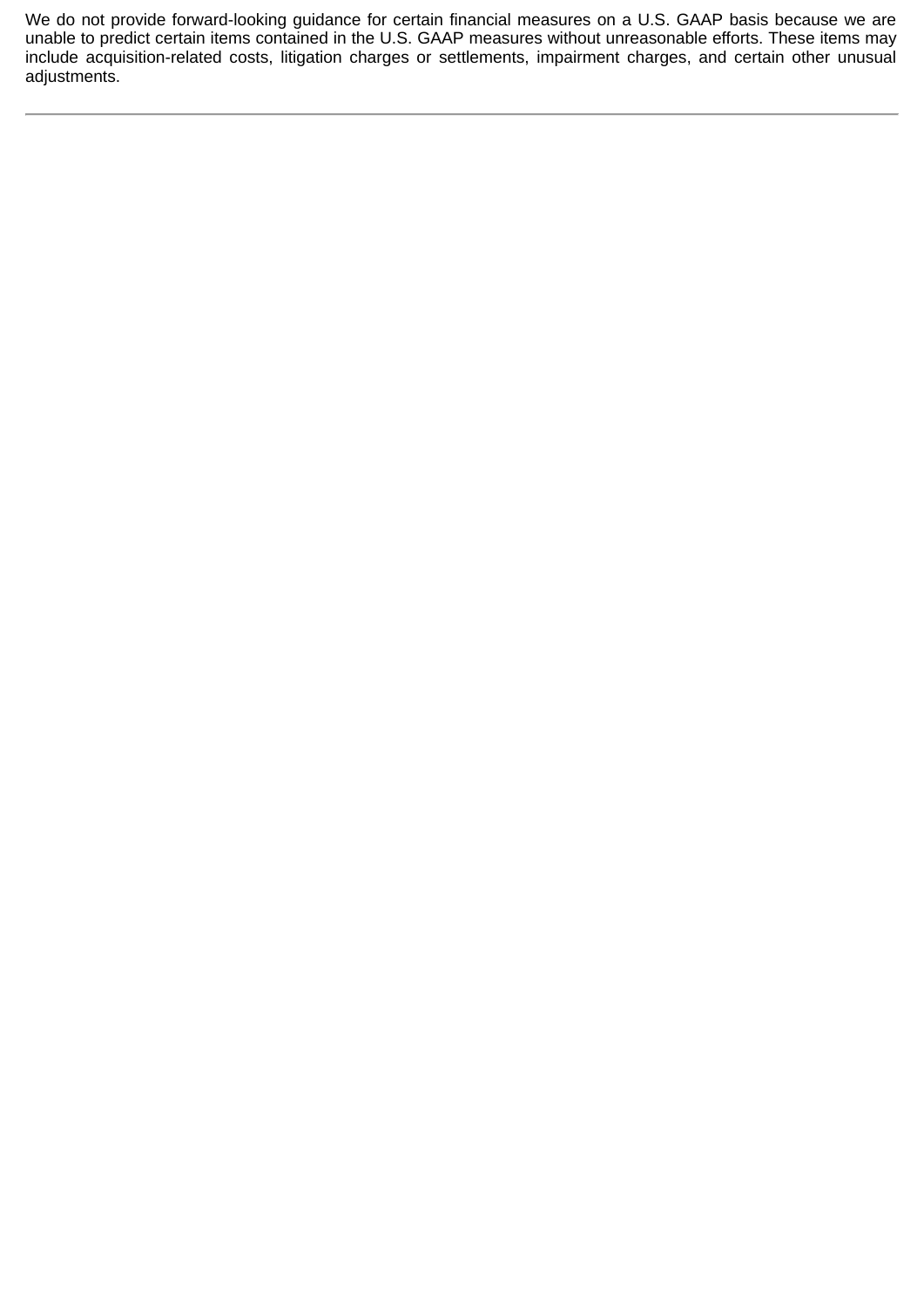We do not provide forward-looking guidance for certain financial measures on a U.S. GAAP basis because we are unable to predict certain items contained in the U.S. GAAP measures without unreasonable efforts. These items may include acquisition-related costs, litigation charges or settlements, impairment charges, and certain other unusual adjustments.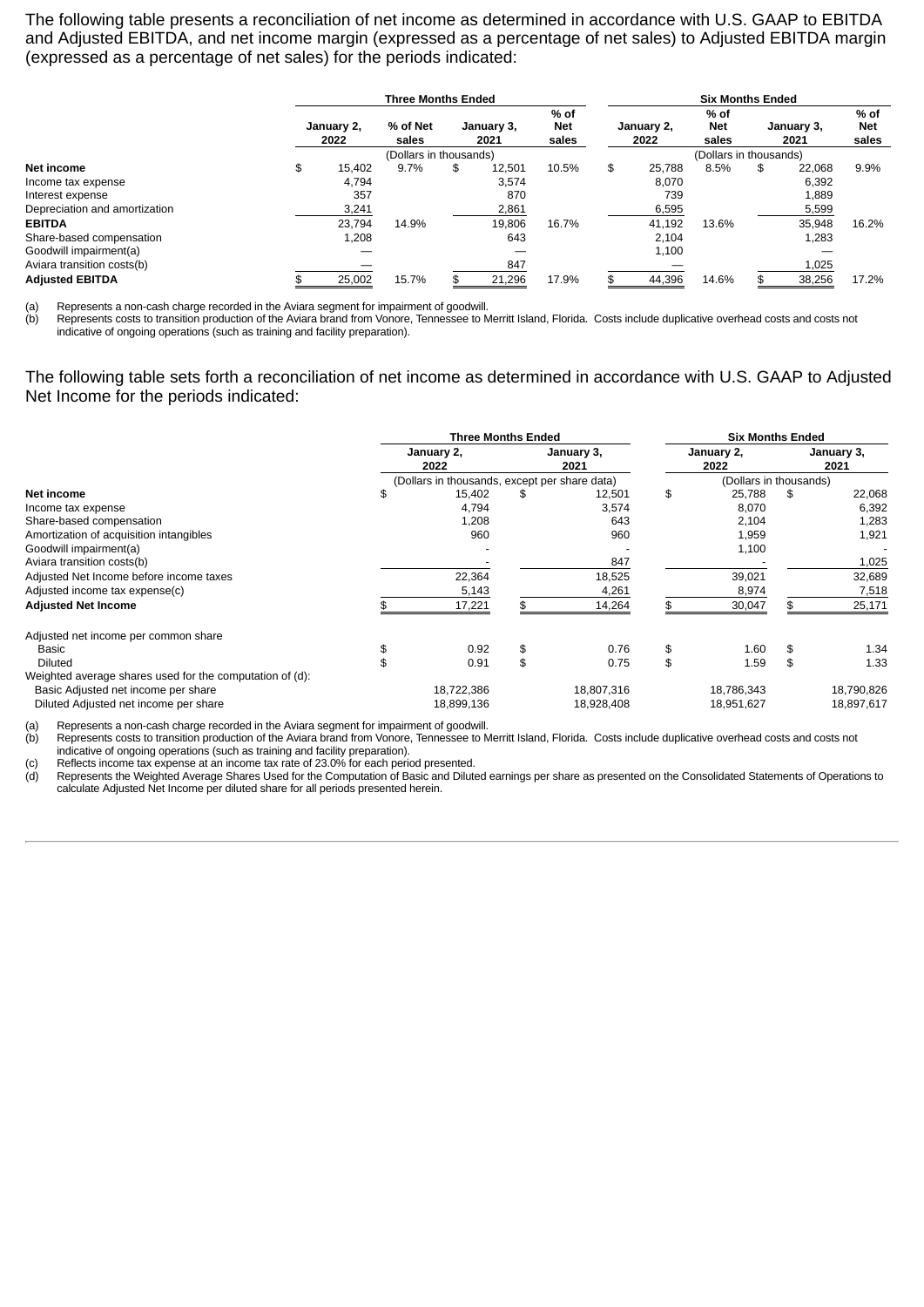The following table presents a reconciliation of net income as determined in accordance with U.S. GAAP to EBITDA and Adjusted EBITDA, and net income margin (expressed as a percentage of net sales) to Adjusted EBITDA margin (expressed as a percentage of net sales) for the periods indicated:

|                               | <b>Three Months Ended</b> |                    |                        |                    |        |                             |                        | <b>Six Months Ended</b> |                             |    |                    |                             |
|-------------------------------|---------------------------|--------------------|------------------------|--------------------|--------|-----------------------------|------------------------|-------------------------|-----------------------------|----|--------------------|-----------------------------|
|                               |                           | January 2,<br>2022 | % of Net<br>sales      | January 3,<br>2021 |        | % of<br><b>Net</b><br>sales |                        | January 2,<br>2022      | % of<br><b>Net</b><br>sales |    | January 3,<br>2021 | % of<br><b>Net</b><br>sales |
|                               |                           |                    | (Dollars in thousands) |                    |        |                             | (Dollars in thousands) |                         |                             |    |                    |                             |
| Net income                    | \$                        | 15,402             | 9.7%                   | \$                 | 12.501 | 10.5%                       | \$                     | 25.788                  | 8.5%                        | \$ | 22.068             | 9.9%                        |
| Income tax expense            |                           | 4.794              |                        |                    | 3.574  |                             |                        | 8.070                   |                             |    | 6,392              |                             |
| Interest expense              |                           | 357                |                        |                    | 870    |                             |                        | 739                     |                             |    | 1,889              |                             |
| Depreciation and amortization |                           | 3,241              |                        |                    | 2,861  |                             |                        | 6,595                   |                             |    | 5,599              |                             |
| <b>EBITDA</b>                 |                           | 23.794             | 14.9%                  |                    | 19.806 | 16.7%                       |                        | 41,192                  | 13.6%                       |    | 35.948             | 16.2%                       |
| Share-based compensation      |                           | 1,208              |                        |                    | 643    |                             |                        | 2,104                   |                             |    | 1,283              |                             |
| Goodwill impairment(a)        |                           |                    |                        |                    |        |                             |                        | 1,100                   |                             |    |                    |                             |
| Aviara transition costs(b)    |                           |                    |                        |                    | 847    |                             |                        |                         |                             |    | 1,025              |                             |
| <b>Adjusted EBITDA</b>        |                           | 25,002             | 15.7%                  |                    | 21,296 | 17.9%                       |                        | 44,396                  | 14.6%                       |    | 38,256             | 17.2%                       |

(a) Represents a non-cash charge recorded in the Aviara segment for impairment of goodwill.

(b) Represents costs to transition production of the Aviara brand from Vonore, Tennessee to Merritt Island, Florida. Costs include duplicative overhead costs and costs not indicative of ongoing operations (such as training and facility preparation).

The following table sets forth a reconciliation of net income as determined in accordance with U.S. GAAP to Adjusted Net Income for the periods indicated:

|                                                          | <b>Three Months Ended</b> |                                               |    |                    |    | <b>Six Months Ended</b> |    |                    |  |  |
|----------------------------------------------------------|---------------------------|-----------------------------------------------|----|--------------------|----|-------------------------|----|--------------------|--|--|
|                                                          | January 2,<br>2022        |                                               |    | January 3,<br>2021 |    | January 2,<br>2022      |    | January 3,<br>2021 |  |  |
|                                                          |                           | (Dollars in thousands, except per share data) |    |                    |    | (Dollars in thousands)  |    |                    |  |  |
| Net income                                               | \$                        | 15,402                                        | S  | 12,501             | \$ | 25,788                  | \$ | 22,068             |  |  |
| Income tax expense                                       |                           | 4,794                                         |    | 3,574              |    | 8,070                   |    | 6,392              |  |  |
| Share-based compensation                                 |                           | 1,208                                         |    | 643                |    | 2,104                   |    | 1,283              |  |  |
| Amortization of acquisition intangibles                  |                           | 960                                           |    | 960                |    | 1,959                   |    | 1,921              |  |  |
| Goodwill impairment(a)                                   |                           |                                               |    |                    |    | 1,100                   |    |                    |  |  |
| Aviara transition costs(b)                               |                           |                                               |    | 847                |    |                         |    | 1,025              |  |  |
| Adjusted Net Income before income taxes                  |                           | 22,364                                        |    | 18,525             |    | 39,021                  |    | 32,689             |  |  |
| Adjusted income tax expense(c)                           |                           | 5,143                                         |    | 4,261              |    | 8,974                   |    | 7,518              |  |  |
| <b>Adjusted Net Income</b>                               |                           | 17,221                                        |    | 14,264             |    | 30,047                  |    | 25,171             |  |  |
| Adjusted net income per common share                     |                           |                                               |    |                    |    |                         |    |                    |  |  |
| Basic                                                    | \$                        | 0.92                                          | \$ | 0.76               | \$ | 1.60                    | \$ | 1.34               |  |  |
| Diluted                                                  |                           | 0.91                                          | \$ | 0.75               | \$ | 1.59                    | \$ | 1.33               |  |  |
| Weighted average shares used for the computation of (d): |                           |                                               |    |                    |    |                         |    |                    |  |  |
| Basic Adjusted net income per share                      |                           | 18,722,386                                    |    | 18,807,316         |    | 18,786,343              |    | 18,790,826         |  |  |
| Diluted Adjusted net income per share                    |                           | 18,899,136                                    |    | 18,928,408         |    | 18,951,627              |    | 18,897,617         |  |  |

(a) Represents a non-cash charge recorded in the Aviara segment for impairment of goodwill.

(b) Represents costs to transition production of the Aviara brand from Vonore, Tennessee to Merritt Island, Florida. Costs include duplicative overhead costs and costs not indicative of ongoing operations (such as training and facility preparation).

(c) Reflects income tax expense at an income tax rate of 23.0% for each period presented.

Reflects income tax expense at an income tax rate of 23.0% for each period presented.<br>(d) Represents the Weighted Average Shares Used for the Computation of Basic and Diluted earnings per share as presented on the Consolid calculate Adjusted Net Income per diluted share for all periods presented herein.